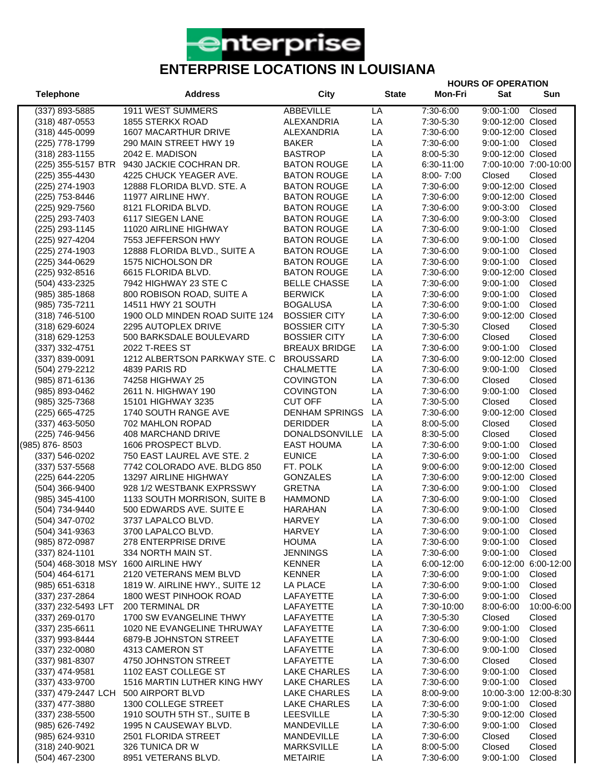

**Telephone Address City State Mon-Fri Sat Sun**

**HOURS OF OPERATION**

(337) 893-5885 1911 WEST SUMMERS ABBEVILLE LA 7:30-6:00 9:00-1:00 Closed (318) 487-0553 1855 STERKX ROAD ALEXANDRIA LA 7:30-5:30 9:00-12:00 Closed (318) 445-0099 1607 MACARTHUR DRIVE ALEXANDRIA LA 7:30-6:00 9:00-12:00 Closed (225) 778-1799 290 MAIN STREET HWY 19 BAKER LA 7:30-6:00 9:00-1:00 Closed (318) 283-1155 2042 E. MADISON BASTROP LA 8:00-5:30 9:00-12:00 Closed (225) 355-5157 BTR 9430 JACKIE COCHRAN DR. BATON ROUGE LA 6:30-11:00 7:00-10:00 7:00-10:00 (225) 355-4430 4225 CHUCK YEAGER AVE. BATON ROUGE LA 8:00- 7:00 Closed Closed (225) 274-1903 12888 FLORIDA BLVD. STE. A BATON ROUGE LA 7:30-6:00 9:00-12:00 Closed (225) 753-8446 11977 AIRLINE HWY. BATON ROUGE LA 7:30-6:00 9:00-12:00 Closed (225) 929-7560 8121 FLORIDA BLVD. BATON ROUGE LA 7:30-6:00 9:00-3:00 Closed (225) 293-7403 6117 SIEGEN LANE BATON ROUGE LA 7:30-6:00 9:00-3:00 Closed (225) 293-1145 11020 AIRLINE HIGHWAY BATON ROUGE LA 7:30-6:00 9:00-1:00 Closed (225) 927-4204 7553 JEFFERSON HWY BATON ROUGE LA 7:30-6:00 9:00-1:00 Closed (225) 274-1903 12888 FLORIDA BLVD., SUITE A BATON ROUGE LA 7:30-6:00 9:00-1:00 Closed (225) 344-0629 1575 NICHOLSON DR BATON ROUGE LA 7:30-6:00 9:00-1:00 Closed (225) 932-8516 6615 FLORIDA BLVD. BATON ROUGE LA 7:30-6:00 9:00-12:00 Closed (504) 433-2325 7942 HIGHWAY 23 STE C BELLE CHASSE LA 7:30-6:00 9:00-1:00 Closed (985) 385-1868 800 ROBISON ROAD, SUITE A BERWICK LA 7:30-6:00 9:00-1:00 Closed (985) 735-7211 14511 HWY 21 SOUTH BOGALUSA LA 7:30-6:00 9:00-1:00 Closed (318) 746-5100 1900 OLD MINDEN ROAD SUITE 124 BOSSIER CITY LA 7:30-6:00 9:00-12:00 Closed (318) 629-6024 2295 AUTOPLEX DRIVE BOSSIER CITY LA 7:30-5:30 Closed Closed (318) 629-1253 500 BARKSDALE BOULEVARD BOSSIER CITY LA 7:30-6:00 Closed Closed (337) 332-4751 2022 T-REES ST BREAUX BRIDGE LA 7:30-6:00 9:00-1:00 Closed (337) 839-0091 1212 ALBERTSON PARKWAY STE. C BROUSSARD LA 7:30-6:00 9:00-12:00 Closed (504) 279-2212 4839 PARIS RD CHALMETTE LA 7:30-6:00 9:00-1:00 Closed (985) 871-6136 74258 HIGHWAY 25 COVINGTON LA 7:30-6:00 Closed Closed (985) 893-0462 2611 N. HIGHWAY 190 COVINGTON LA 7:30-6:00 9:00-1:00 Closed (985) 325-7368 15101 HIGHWAY 3235 CUT OFF LA 7:30-5:00 Closed Closed (225) 665-4725 1740 SOUTH RANGE AVE DENHAM SPRINGS LA 7:30-6:00 9:00-12:00 Closed (337) 463-5050 702 MAHLON ROPAD DERIDDER LA 8:00-5:00 Closed Closed (225) 746-9456 408 MARCHAND DRIVE DONALDSONVILLE LA 8:30-5:00 Closed Closed (985) 876- 8503 1606 PROSPECT BLVD. EAST HOUMA LA 7:30-6:00 9:00-1:00 Closed (337) 546-0202 750 EAST LAUREL AVE STE. 2 EUNICE LA 7:30-6:00 9:00-1:00 Closed (337) 537-5568 7742 COLORADO AVE. BLDG 850 FT. POLK LA 9:00-6:00 9:00-12:00 Closed (225) 644-2205 13297 AIRLINE HIGHWAY GONZALES LA 7:30-6:00 9:00-12:00 Closed (504) 366-9400 928 1/2 WESTBANK EXPRSSWY GRETNA LA 7:30-6:00 9:00-1:00 Closed (985) 345-4100 1133 SOUTH MORRISON, SUITE B HAMMOND LA 7:30-6:00 9:00-1:00 Closed (504) 734-9440 500 EDWARDS AVE. SUITE E HARAHAN LA 7:30-6:00 9:00-1:00 Closed (504) 347-0702 3737 LAPALCO BLVD. HARVEY LA 7:30-6:00 9:00-1:00 Closed (504) 341-9363 3700 LAPALCO BLVD. HARVEY LA 7:30-6:00 9:00-1:00 Closed (985) 872-0987 278 ENTERPRISE DRIVE HOUMA LA 7:30-6:00 9:00-1:00 Closed (337) 824-1101 334 NORTH MAIN ST. JENNINGS LA 7:30-6:00 9:00-1:00 Closed (504) 468-3018 MSY 1600 AIRLINE HWY KENNER LA 6:00-12:00 6:00-12:00 6:00-12:00 (504) 464-6171 2120 VETERANS MEM BLVD KENNER LA 7:30-6:00 9:00-1:00 Closed (985) 651-6318 1819 W. AIRLINE HWY., SUITE 12 LA PLACE LA 7:30-6:00 9:00-1:00 Closed (337) 237-2864 1800 WEST PINHOOK ROAD LAFAYETTE LA 7:30-6:00 9:00-1:00 Closed (337) 232-5493 LFT 200 TERMINAL DR LAFAYETTE LA 7:30-10:00 8:00-6:00 10:00-6:00 (337) 269-0170 1700 SW EVANGELINE THWY LAFAYETTE LA 7:30-5:30 Closed Closed (337) 235-6611 1020 NE EVANGELINE THRUWAY LAFAYETTE LA 7:30-6:00 9:00-1:00 Closed (337) 993-8444 6879-B JOHNSTON STREET LAFAYETTE LA 7:30-6:00 9:00-1:00 Closed (337) 232-0080 4313 CAMERON ST LAFAYETTE LA 7:30-6:00 9:00-1:00 Closed (337) 981-8307 4750 JOHNSTON STREET LAFAYETTE LA 7:30-6:00 Closed Closed (337) 474-9581 1102 EAST COLLEGE ST LAKE CHARLES LA 7:30-6:00 9:00-1:00 Closed (337) 433-9700 1516 MARTIN LUTHER KING HWY LAKE CHARLES LA 7:30-6:00 9:00-1:00 Closed (337) 479-2447 LCH 500 AIRPORT BLVD LAKE CHARLES LA 8:00-9:00 10:00-3:00 12:00-8:30 (337) 477-3880 1300 COLLEGE STREET LAKE CHARLES LA 7:30-6:00 9:00-1:00 Closed (337) 238-5500 1910 SOUTH 5TH ST., SUITE B LEESVILLE LA 7:30-5:30 9:00-12:00 Closed (985) 626-7492 1995 N CAUSEWAY BLVD. MANDEVILLE LA 7:30-6:00 9:00-1:00 Closed (985) 624-9310 2501 FLORIDA STREET MANDEVILLE LA 7:30-6:00 Closed Closed

(318) 240-9021 326 TUNICA DR W MARKSVILLE LA 8:00-5:00 Closed Closed (504) 467-2300 8951 VETERANS BLVD. METAIRIE LA 7:30-6:00 9:00-1:00 Closed